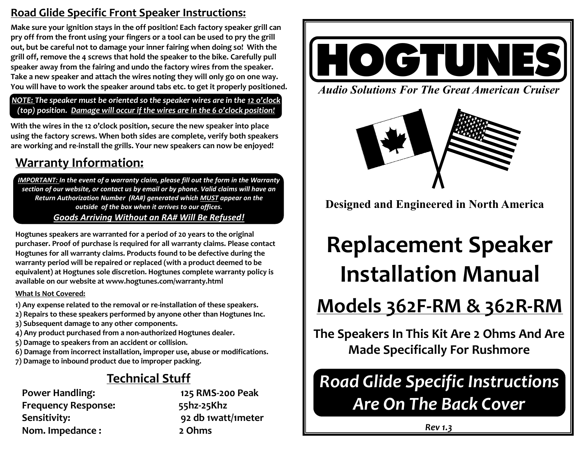### **Road Glide Specific Front Speaker Instructions:**

**Make sure your ignition stays in the off position! Each factory speaker grill can pry off from the front using your fingers or a tool can be used to pry the grill out, but be careful not to damage your inner fairing when doing so! With the grill off, remove the 4 screws that hold the speaker to the bike. Carefully pull speaker away from the fairing and undo the factory wires from the speaker. Take a new speaker and attach the wires noting they will only go on one way. You will have to work the speaker around tabs etc. to get it properly positioned.** 

*NOTE: The speaker must be oriented so the speaker wires are in the 12 o'clock (top) position. Damage will occur if the wires are in the 6 o'clock position!*

**With the wires in the 12 o'clock position, secure the new speaker into place using the factory screws. When both sides are complete, verify both speakers are working and re-install the grills. Your new speakers can now be enjoyed!**

### **Warranty Information:**

*IMPORTANT: In the event of a warranty claim, please fill out the form in the Warranty section of our website, or contact us by email or by phone. Valid claims will have an Return Authorization Number (RA#) generated which MUST appear on the outside of the box when it arrives to our offices. Goods Arriving Without an RA# Will Be Refused!*

**Hogtunes speakers are warranted for a period of 20 years to the original purchaser. Proof of purchase is required for all warranty claims. Please contact Hogtunes for all warranty claims. Products found to be defective during the warranty period will be repaired or replaced (with a product deemed to be equivalent) at Hogtunes sole discretion. Hogtunes complete warranty policy is available on our website at www.hogtunes.com/warranty.html**

#### **What Is Not Covered:**

- **1) Any expense related to the removal or re-installation of these speakers.**
- **2) Repairs to these speakers performed by anyone other than Hogtunes Inc.**
- **3) Subsequent damage to any other components.**
- **4) Any product purchased from a non-authorized Hogtunes dealer.**
- **5) Damage to speakers from an accident or collision.**
- **6) Damage from incorrect installation, improper use, abuse or modifications.**
- **7) Damage to inbound product due to improper packing.**

### **Technical Stuff**

**Power Handling: 125 RMS-200 Peak Frequency Response: 55hz-25Khz Sensitivity: 92 db 1watt/1meter Nom. Impedance : 2 Ohms**



*Audio Solutions For The Great American Cruiser*



**Designed and Engineered in North America**

# **Replacement Speaker Installation Manual**

# **Models 362F-RM & 362R-RM**

**The Speakers In This Kit Are 2 Ohms And Are Made Specifically For Rushmore** 

## *Road Glide Specific Instructions Are On The Back Cover*